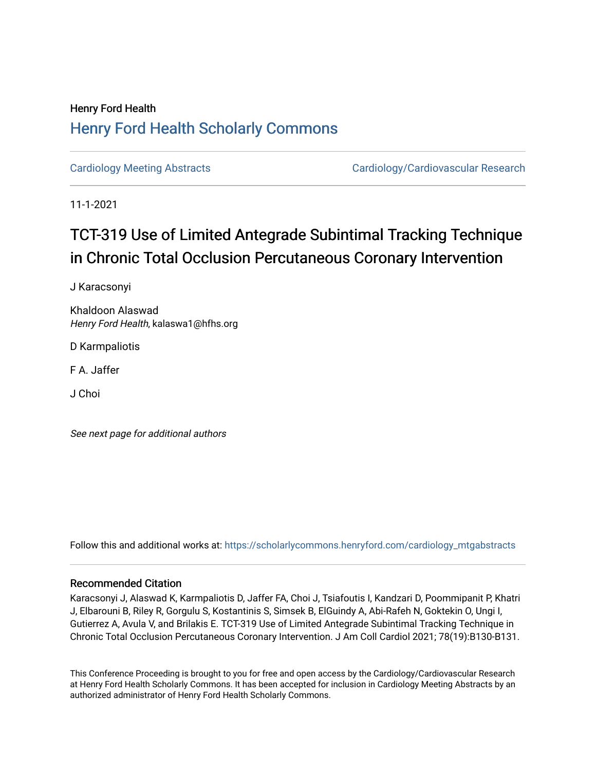# Henry Ford Health [Henry Ford Health Scholarly Commons](https://scholarlycommons.henryford.com/)

[Cardiology Meeting Abstracts](https://scholarlycommons.henryford.com/cardiology_mtgabstracts) Cardiology/Cardiovascular Research

11-1-2021

# TCT-319 Use of Limited Antegrade Subintimal Tracking Technique in Chronic Total Occlusion Percutaneous Coronary Intervention

J Karacsonyi

Khaldoon Alaswad Henry Ford Health, kalaswa1@hfhs.org

D Karmpaliotis

F A. Jaffer

J Choi

See next page for additional authors

Follow this and additional works at: [https://scholarlycommons.henryford.com/cardiology\\_mtgabstracts](https://scholarlycommons.henryford.com/cardiology_mtgabstracts?utm_source=scholarlycommons.henryford.com%2Fcardiology_mtgabstracts%2F311&utm_medium=PDF&utm_campaign=PDFCoverPages) 

## Recommended Citation

Karacsonyi J, Alaswad K, Karmpaliotis D, Jaffer FA, Choi J, Tsiafoutis I, Kandzari D, Poommipanit P, Khatri J, Elbarouni B, Riley R, Gorgulu S, Kostantinis S, Simsek B, ElGuindy A, Abi-Rafeh N, Goktekin O, Ungi I, Gutierrez A, Avula V, and Brilakis E. TCT-319 Use of Limited Antegrade Subintimal Tracking Technique in Chronic Total Occlusion Percutaneous Coronary Intervention. J Am Coll Cardiol 2021; 78(19):B130-B131.

This Conference Proceeding is brought to you for free and open access by the Cardiology/Cardiovascular Research at Henry Ford Health Scholarly Commons. It has been accepted for inclusion in Cardiology Meeting Abstracts by an authorized administrator of Henry Ford Health Scholarly Commons.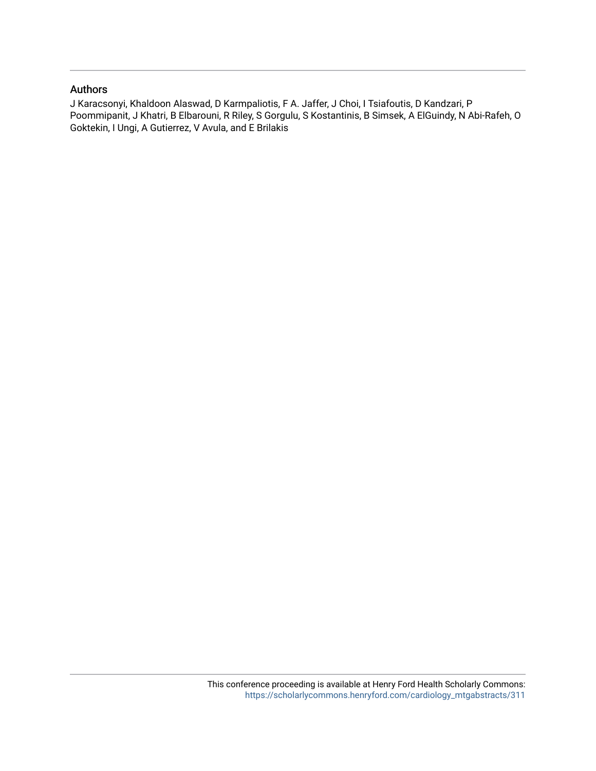## Authors

J Karacsonyi, Khaldoon Alaswad, D Karmpaliotis, F A. Jaffer, J Choi, I Tsiafoutis, D Kandzari, P Poommipanit, J Khatri, B Elbarouni, R Riley, S Gorgulu, S Kostantinis, B Simsek, A ElGuindy, N Abi-Rafeh, O Goktekin, I Ungi, A Gutierrez, V Avula, and E Brilakis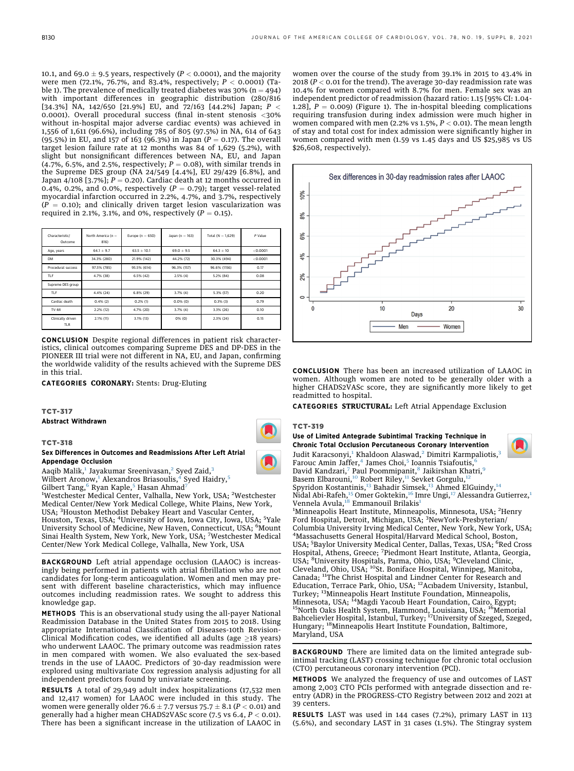10.1, and 69.0  $\pm$  9.5 years, respectively (P < 0.0001), and the majority were men (72.1%, 76.7%, and 83.4%, respectively;  $P < 0.0001$ ) (Table 1). The prevalence of medically treated diabetes was  $30\%$  (n = 494) with important differences in geographic distribution (280/816 [34.3%] NA, 142/650 [21.9%] EU, and 72/163 [44.2%] Japan;  $P <$ 0.0001). Overall procedural success (final in-stent stenosis <30% without in-hospital major adverse cardiac events) was achieved in 1,556 of 1,611 (96.6%), including 785 of 805 (97.5%) in NA, 614 of 643 (95.5%) in EU, and 157 of 163 (96.3%) in Japan ( $P = 0.17$ ). The overall target lesion failure rate at 12 months was 84 of 1,629 (5.2%), with slight but nonsignificant differences between NA, EU, and Japan (4.7%, 6.5%, and 2.5%, respectively;  $P = 0.08$ ), with similar trends in the Supreme DES group (NA 24/549 [4.4%], EU 29/429 [6.8%], and Japan 4/108 [3.7%];  $P = 0.20$ ). Cardiac death at 12 months occurred in 0.4%, 0.2%, and 0.0%, respectively ( $P = 0.79$ ); target vessel-related myocardial infarction occurred in 2.2%, 4.7%, and 3.7%, respectively  $(P = 0.10)$ ; and clinically driven target lesion vascularization was required in 2.1%, 3.1%, and 0%, respectively ( $P = 0.15$ ).

| Characteristic/<br>Outcome | North America ( $n =$<br>816) | Europe ( $n = 650$ ) | Japan (n $= 163$ ) | Total ( $N = 1,629$ ) | P Value  |
|----------------------------|-------------------------------|----------------------|--------------------|-----------------------|----------|
| Age, years                 | $64.1 \pm 9.7$                | $63.5 \pm 10.1$      | $69.0 \pm 9.5$     | $64.3 \pm 10$         | < 0.0001 |
| <b>DM</b>                  | 34.3% (280)                   | 21.9% (142)          | 44.2% (72)         | 30.3% (494)           | < 0.0001 |
| Procedural success         | 97.5% (785)                   | 95.5% (614)          | 96.3% (157)        | 96.6% (1156)          | 0.17     |
| TLF                        | 4.7% (38)                     | 6.5% (42)            | 2.5%(4)            | 5.2% (84)             | 0.08     |
| Supreme DES group          |                               |                      |                    |                       |          |
| TLF                        | 4.4% (24)                     | 6.8% (29)            | 3.7% (4)           | 5.3% (57)             | 0.20     |
| Cardiac death              | 0.4%(2)                       | $0.2%$ (1)           | $0.0%$ (0)         | $0.3%$ (3)            | 0.79     |
| TV-MI                      | 2.2% (12)                     | 4.7% (20)            | 3.7%(4)            | 3.3% (26)             | 0.10     |
| Clinically driven<br>TLR   | 2.1% (11)                     | 3.1% (13)            | $0%$ (0)           | $2.3%$ (24)           | 0.15     |

CONCLUSION Despite regional differences in patient risk characteristics, clinical outcomes comparing Supreme DES and DP-DES in the PIONEER III trial were not different in NA, EU, and Japan, confirming the worldwide validity of the results achieved with the Supreme DES in this trial.

CATEGORIES CORONARY: Stents: Drug-Eluting

### TCT-317

Abstract Withdrawn

TCT-318

#### Sex Differences in Outcomes and Readmissions After Left Atrial Appendage Occlusion

Aaqib Malik,<sup>[1](#page-2-0)</sup> Jayakumar Sreenivasan,<sup>[2](#page-2-0)</sup> Syed Zaid,<sup>[3](#page-2-1)</sup>

Wilbert Aronow,<sup>[1](#page-2-0)</sup> Alexandros Briasoulis,<sup>[4](#page-2-2)</sup> Syed Haidry,<sup>[5](#page-2-3)</sup>

Gilbert Tang,<sup>[6](#page-2-3)</sup> Ryan Kaple,<sup>[5](#page-2-3)</sup> Hasan Ahmad<sup>[7](#page-2-4)</sup>

<sup>1</sup>Westchester Medical Center, Valhalla, New York, USA; <sup>2</sup>Westchester Medical Center/New York Medical College, White Plains, New York, USA; <sup>3</sup>Houston Methodist Debakey Heart and Vascular Center,

Houston, Texas, USA; <sup>4</sup> University of Iowa, Iowa City, Iowa, USA; <sup>5</sup> Yale University School of Medicine, New Haven, Connecticut, USA; <sup>6</sup>Mount Sinai Health System, New York, New York, USA; <sup>7</sup> Westchester Medical Center/New York Medical College, Valhalla, New York, USA

BACKGROUND Left atrial appendage occlusion (LAAOC) is increasingly being performed in patients with atrial fibrillation who are not candidates for long-term anticoagulation. Women and men may present with different baseline characteristics, which may influence outcomes including readmission rates. We sought to address this knowledge gap.

METHODS This is an observational study using the all-payer National Readmission Database in the United States from 2015 to 2018. Using appropriate International Classification of Diseases-10th Revision-Clinical Modification codes, we identified all adults (age  $\geq$ 18 years) who underwent LAAOC. The primary outcome was readmission rates in men compared with women. We also evaluated the sex-based trends in the use of LAAOC. Predictors of 30-day readmission were explored using multivariate Cox regression analysis adjusting for all independent predictors found by univariate screening.

RESULTS A total of 29,949 adult index hospitalizations (17,532 men and 12,417 women) for LAAOC were included in this study. The women were generally older 76.6  $\pm$  7.7 versus 75.7  $\pm$  8.1 (P < 0.01) and generally had a higher mean CHADS2VASc score  $(7.5 \text{ vs } 6.4, P < 0.01)$ . There has been a significant increase in the utilization of LAAOC in

women over the course of the study from 39.1% in 2015 to 43.4% in 2018 ( $P < 0.01$  for the trend). The average 30-day readmission rate was 10.4% for women compared with 8.7% for men. Female sex was an independent predictor of readmission (hazard ratio: 1.15 [95% CI: 1.04- 1.28],  $P = 0.009$ ) (Figure 1). The in-hospital bleeding complications requiring transfusion during index admission were much higher in women compared with men (2.2% vs 1.5%,  $P < 0.01$ ). The mean length of stay and total cost for index admission were significantly higher in women compared with men (1.59 vs 1.45 days and US \$25,985 vs US \$26,608, respectively).



CONCLUSION There has been an increased utilization of LAAOC in women. Although women are noted to be generally older with a higher CHADS2VASc score, they are significantly more likely to get readmitted to hospital.

CATEGORIES STRUCTURAL: Left Atrial Appendage Exclusion

#### TCT-319

#### Use of Limited Antegrade Subintimal Tracking Technique in Chronic Total Occlusion Percutaneous Coronary Intervention Judit Karacsonyi,<sup>[1](#page-2-0)</sup> Khaldoon Alaswad,<sup>[2](#page-2-0)</sup> Dimitri Karmpaliotis,<sup>[3](#page-2-1)</sup> Farouc Amin Jaffer,<sup>[4](#page-2-2)</sup> James Choi,<sup>[5](#page-2-3)</sup> Ioannis Tsiafoutis, David Kandzari,<sup>[7](#page-2-4)</sup> Paul Poommipanit,<sup>[8](#page-2-5)</sup> Jaikirshan Khatri,<sup>[9](#page-2-5)</sup> Basem Elbarouni,<sup>[10](#page-2-6)</sup> Robert Riley,<sup>[11](#page-2-7)</sup> Sevket Gorgulu,<sup>[12](#page-2-8)</sup> Spyridon Kostantinis,<sup>[13](#page-2-9)</sup> Bahadir Simsek,<sup>13</sup> Ahmed ElGuindy,<sup>[14](#page-2-10)</sup> Nidal Abi-Rafeh, <sup>[15](#page-2-10)</sup> Omer Goktekin, <sup>[16](#page-2-11)</sup> Imre Ungi, <sup>[17](#page-2-12)</sup> Alessandra Gutierrez, <sup>[1](#page-2-0)</sup>

<span id="page-2-7"></span><span id="page-2-6"></span><span id="page-2-5"></span><span id="page-2-4"></span><span id="page-2-3"></span><span id="page-2-2"></span><span id="page-2-1"></span><span id="page-2-0"></span>Vennela Avula,<sup>[18](#page-2-13)</sup> Emmanouil Brilakis<sup>[1](#page-2-0)</sup> <sup>1</sup>Minneapolis Heart Institute, Minneapolis, Minnesota, USA; <sup>2</sup>Henry Ford Hospital, Detroit, Michigan, USA; <sup>3</sup>NewYork-Presbyterian/ Columbia University Irving Medical Center, New York, New York, USA; <sup>4</sup> Massachusetts General Hospital/Harvard Medical School, Boston, USA; <sup>5</sup>Baylor University Medical Center, Dallas, Texas, USA; <sup>6</sup>Red Cross Hospital, Athens, Greece; <sup>7</sup> Piedmont Heart Institute, Atlanta, Georgia, USA; <sup>8</sup>University Hospitals, Parma, Ohio, USA; <sup>9</sup>Cleveland Clinic,<br>Cleveland, Ohio, USA; <sup>10</sup>St. Boniface Hospital, Winnipeg, Manitoba, Canada; <sup>11</sup>The Christ Hospital and Lindner Center for Research and Education, Terrace Park, Ohio, USA; 12Acıbadem University, Istanbul, Turkey; 13Minneapolis Heart Institute Foundation, Minneapolis, Minnesota, USA; <sup>14</sup>Magdi Yacoub Heart Foundation, Cairo, Egypt;<br><sup>15</sup>North Oaks Health System, Hammond, Louisiana, USA; <sup>16</sup>Memorial Bahcelievler Hospital, Istanbul, Turkey; 17University of Szeged, Szeged, Hungary; 18Minneapolis Heart Institute Foundation, Baltimore, Maryland, USA

<span id="page-2-13"></span><span id="page-2-12"></span><span id="page-2-11"></span><span id="page-2-10"></span><span id="page-2-9"></span><span id="page-2-8"></span>BACKGROUND There are limited data on the limited antegrade subintimal tracking (LAST) crossing technique for chronic total occlusion (CTO) percutaneous coronary intervention (PCI).

METHODS We analyzed the frequency of use and outcomes of LAST among 2,003 CTO PCIs performed with antegrade dissection and reentry (ADR) in the PROGRESS-CTO Registry between 2012 and 2021 at 39 centers.

RESULTS LAST was used in 144 cases (7.2%), primary LAST in 113 (5.6%), and secondary LAST in 31 cases (1.5%). The Stingray system